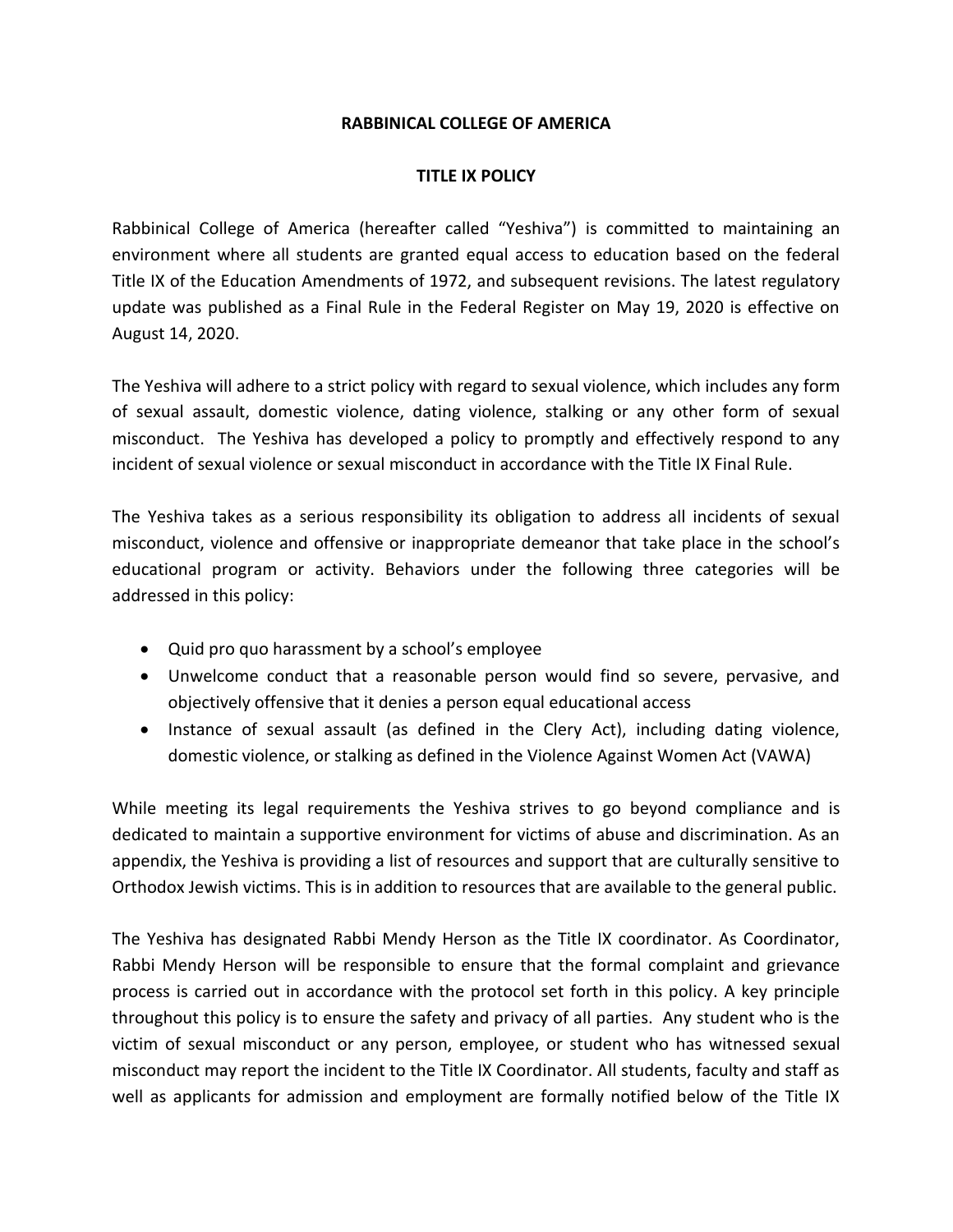## **RABBINICAL COLLEGE OF AMERICA**

## **TITLE IX POLICY**

Rabbinical College of America (hereafter called "Yeshiva") is committed to maintaining an environment where all students are granted equal access to education based on the federal Title IX of the Education Amendments of 1972, and subsequent revisions. The latest regulatory update was published as a Final Rule in the Federal Register on May 19, 2020 is effective on August 14, 2020.

The Yeshiva will adhere to a strict policy with regard to sexual violence, which includes any form of sexual assault, domestic violence, dating violence, stalking or any other form of sexual misconduct. The Yeshiva has developed a policy to promptly and effectively respond to any incident of sexual violence or sexual misconduct in accordance with the Title IX Final Rule.

The Yeshiva takes as a serious responsibility its obligation to address all incidents of sexual misconduct, violence and offensive or inappropriate demeanor that take place in the school's educational program or activity. Behaviors under the following three categories will be addressed in this policy:

- Quid pro quo harassment by a school's employee
- Unwelcome conduct that a reasonable person would find so severe, pervasive, and objectively offensive that it denies a person equal educational access
- Instance of sexual assault (as defined in the Clery Act), including dating violence, domestic violence, or stalking as defined in the Violence Against Women Act (VAWA)

While meeting its legal requirements the Yeshiva strives to go beyond compliance and is dedicated to maintain a supportive environment for victims of abuse and discrimination. As an appendix, the Yeshiva is providing a list of resources and support that are culturally sensitive to Orthodox Jewish victims. This is in addition to resources that are available to the general public.

The Yeshiva has designated Rabbi Mendy Herson as the Title IX coordinator. As Coordinator, Rabbi Mendy Herson will be responsible to ensure that the formal complaint and grievance process is carried out in accordance with the protocol set forth in this policy. A key principle throughout this policy is to ensure the safety and privacy of all parties. Any student who is the victim of sexual misconduct or any person, employee, or student who has witnessed sexual misconduct may report the incident to the Title IX Coordinator. All students, faculty and staff as well as applicants for admission and employment are formally notified below of the Title IX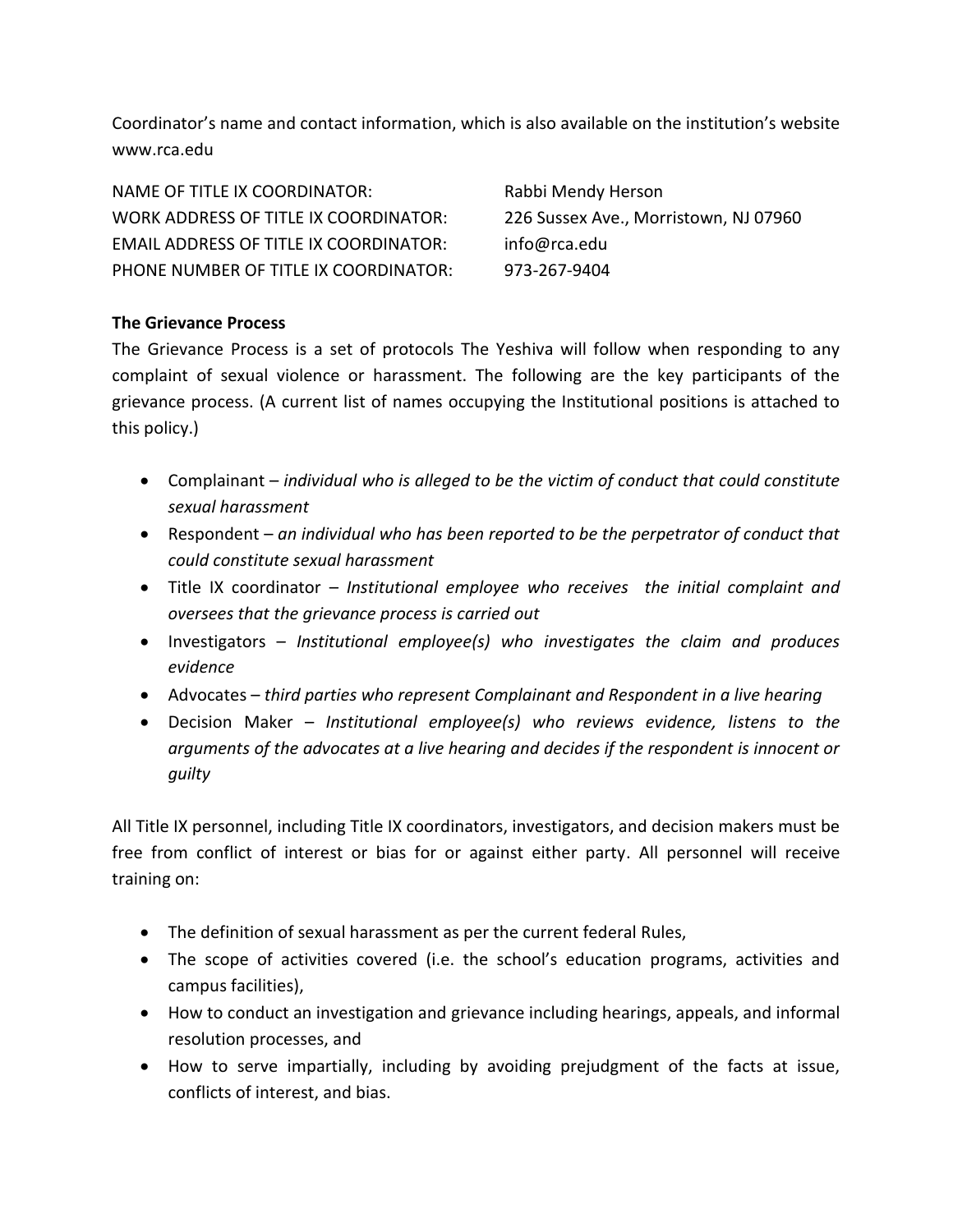Coordinator's name and contact information, which is also available on the institution's website www.rca.edu

| NAME OF TITLE IX COORDINATOR:                 | Rabbi Mendy Herson                    |
|-----------------------------------------------|---------------------------------------|
| WORK ADDRESS OF TITLE IX COORDINATOR:         | 226 Sussex Ave., Morristown, NJ 07960 |
| <b>EMAIL ADDRESS OF TITLE IX COORDINATOR:</b> | info@rca.edu                          |
| PHONE NUMBER OF TITLE IX COORDINATOR:         | 973-267-9404                          |

# **The Grievance Process**

The Grievance Process is a set of protocols The Yeshiva will follow when responding to any complaint of sexual violence or harassment. The following are the key participants of the grievance process. (A current list of names occupying the Institutional positions is attached to this policy.)

- Complainant *individual who is alleged to be the victim of conduct that could constitute sexual harassment*
- Respondent *an individual who has been reported to be the perpetrator of conduct that could constitute sexual harassment*
- Title IX coordinator *Institutional employee who receives the initial complaint and oversees that the grievance process is carried out*
- Investigators *Institutional employee(s) who investigates the claim and produces evidence*
- Advocates *third parties who represent Complainant and Respondent in a live hearing*
- Decision Maker *Institutional employee(s) who reviews evidence, listens to the arguments of the advocates at a live hearing and decides if the respondent is innocent or guilty*

All Title IX personnel, including Title IX coordinators, investigators, and decision makers must be free from conflict of interest or bias for or against either party. All personnel will receive training on:

- The definition of sexual harassment as per the current federal Rules,
- The scope of activities covered (i.e. the school's education programs, activities and campus facilities),
- How to conduct an investigation and grievance including hearings, appeals, and informal resolution processes, and
- How to serve impartially, including by avoiding prejudgment of the facts at issue, conflicts of interest, and bias.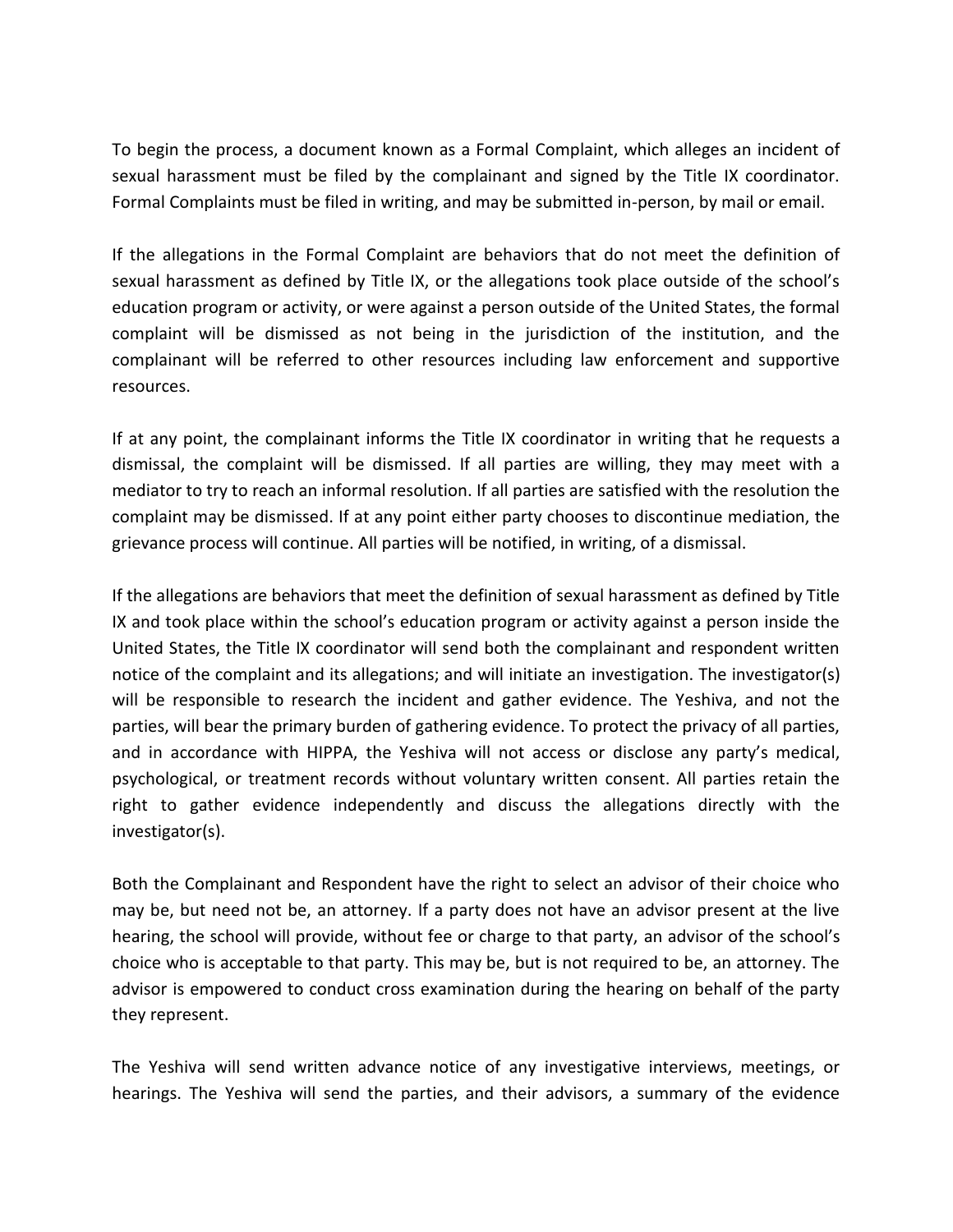To begin the process, a document known as a Formal Complaint, which alleges an incident of sexual harassment must be filed by the complainant and signed by the Title IX coordinator. Formal Complaints must be filed in writing, and may be submitted in-person, by mail or email.

If the allegations in the Formal Complaint are behaviors that do not meet the definition of sexual harassment as defined by Title IX, or the allegations took place outside of the school's education program or activity, or were against a person outside of the United States, the formal complaint will be dismissed as not being in the jurisdiction of the institution, and the complainant will be referred to other resources including law enforcement and supportive resources.

If at any point, the complainant informs the Title IX coordinator in writing that he requests a dismissal, the complaint will be dismissed. If all parties are willing, they may meet with a mediator to try to reach an informal resolution. If all parties are satisfied with the resolution the complaint may be dismissed. If at any point either party chooses to discontinue mediation, the grievance process will continue. All parties will be notified, in writing, of a dismissal.

If the allegations are behaviors that meet the definition of sexual harassment as defined by Title IX and took place within the school's education program or activity against a person inside the United States, the Title IX coordinator will send both the complainant and respondent written notice of the complaint and its allegations; and will initiate an investigation. The investigator(s) will be responsible to research the incident and gather evidence. The Yeshiva, and not the parties, will bear the primary burden of gathering evidence. To protect the privacy of all parties, and in accordance with HIPPA, the Yeshiva will not access or disclose any party's medical, psychological, or treatment records without voluntary written consent. All parties retain the right to gather evidence independently and discuss the allegations directly with the investigator(s).

Both the Complainant and Respondent have the right to select an advisor of their choice who may be, but need not be, an attorney. If a party does not have an advisor present at the live hearing, the school will provide, without fee or charge to that party, an advisor of the school's choice who is acceptable to that party. This may be, but is not required to be, an attorney. The advisor is empowered to conduct cross examination during the hearing on behalf of the party they represent.

The Yeshiva will send written advance notice of any investigative interviews, meetings, or hearings. The Yeshiva will send the parties, and their advisors, a summary of the evidence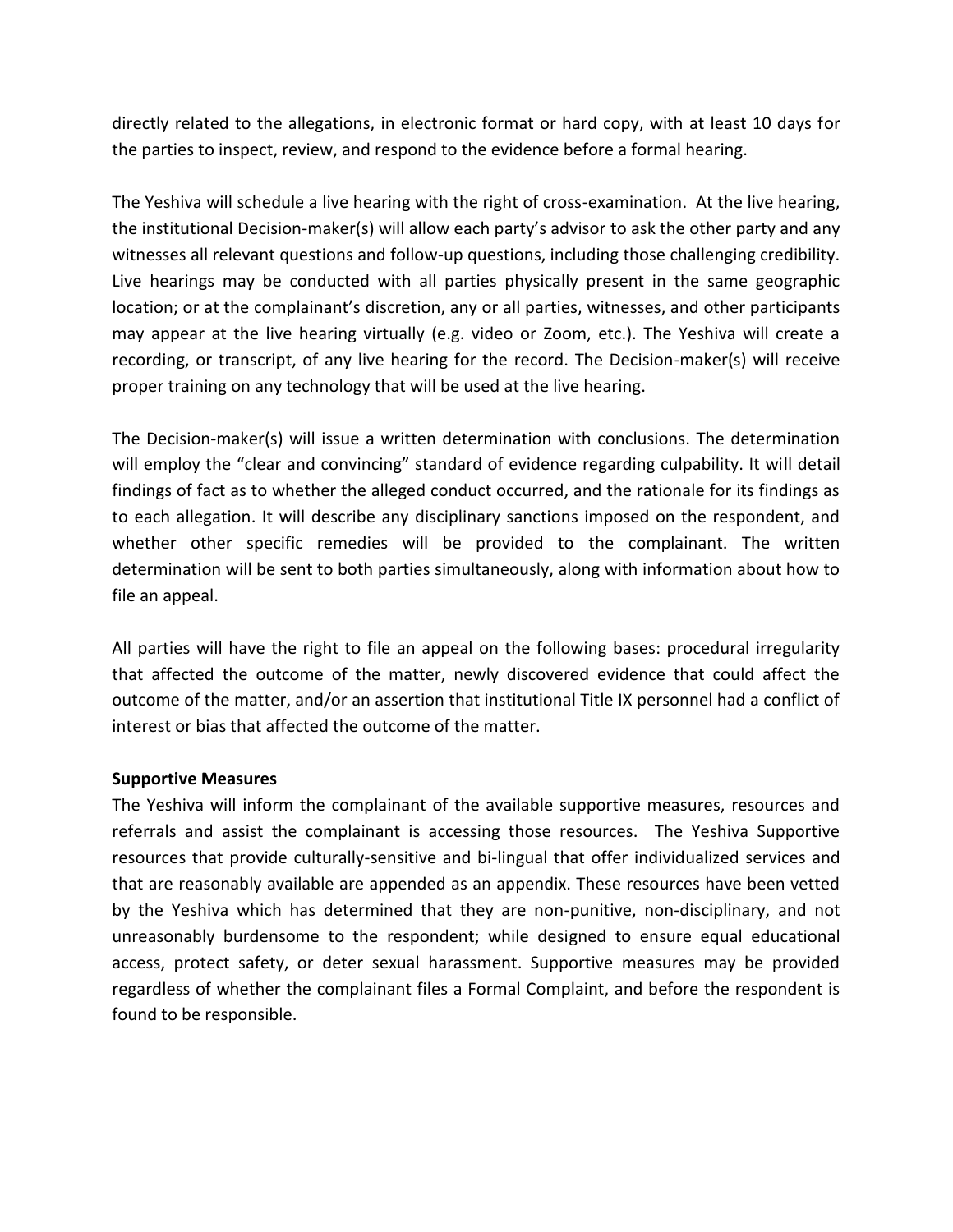directly related to the allegations, in electronic format or hard copy, with at least 10 days for the parties to inspect, review, and respond to the evidence before a formal hearing.

The Yeshiva will schedule a live hearing with the right of cross-examination. At the live hearing, the institutional Decision-maker(s) will allow each party's advisor to ask the other party and any witnesses all relevant questions and follow-up questions, including those challenging credibility. Live hearings may be conducted with all parties physically present in the same geographic location; or at the complainant's discretion, any or all parties, witnesses, and other participants may appear at the live hearing virtually (e.g. video or Zoom, etc.). The Yeshiva will create a recording, or transcript, of any live hearing for the record. The Decision-maker(s) will receive proper training on any technology that will be used at the live hearing.

The Decision-maker(s) will issue a written determination with conclusions. The determination will employ the "clear and convincing" standard of evidence regarding culpability. It will detail findings of fact as to whether the alleged conduct occurred, and the rationale for its findings as to each allegation. It will describe any disciplinary sanctions imposed on the respondent, and whether other specific remedies will be provided to the complainant. The written determination will be sent to both parties simultaneously, along with information about how to file an appeal.

All parties will have the right to file an appeal on the following bases: procedural irregularity that affected the outcome of the matter, newly discovered evidence that could affect the outcome of the matter, and/or an assertion that institutional Title IX personnel had a conflict of interest or bias that affected the outcome of the matter.

## **Supportive Measures**

The Yeshiva will inform the complainant of the available supportive measures, resources and referrals and assist the complainant is accessing those resources. The Yeshiva Supportive resources that provide culturally-sensitive and bi-lingual that offer individualized services and that are reasonably available are appended as an appendix. These resources have been vetted by the Yeshiva which has determined that they are non-punitive, non-disciplinary, and not unreasonably burdensome to the respondent; while designed to ensure equal educational access, protect safety, or deter sexual harassment. Supportive measures may be provided regardless of whether the complainant files a Formal Complaint, and before the respondent is found to be responsible.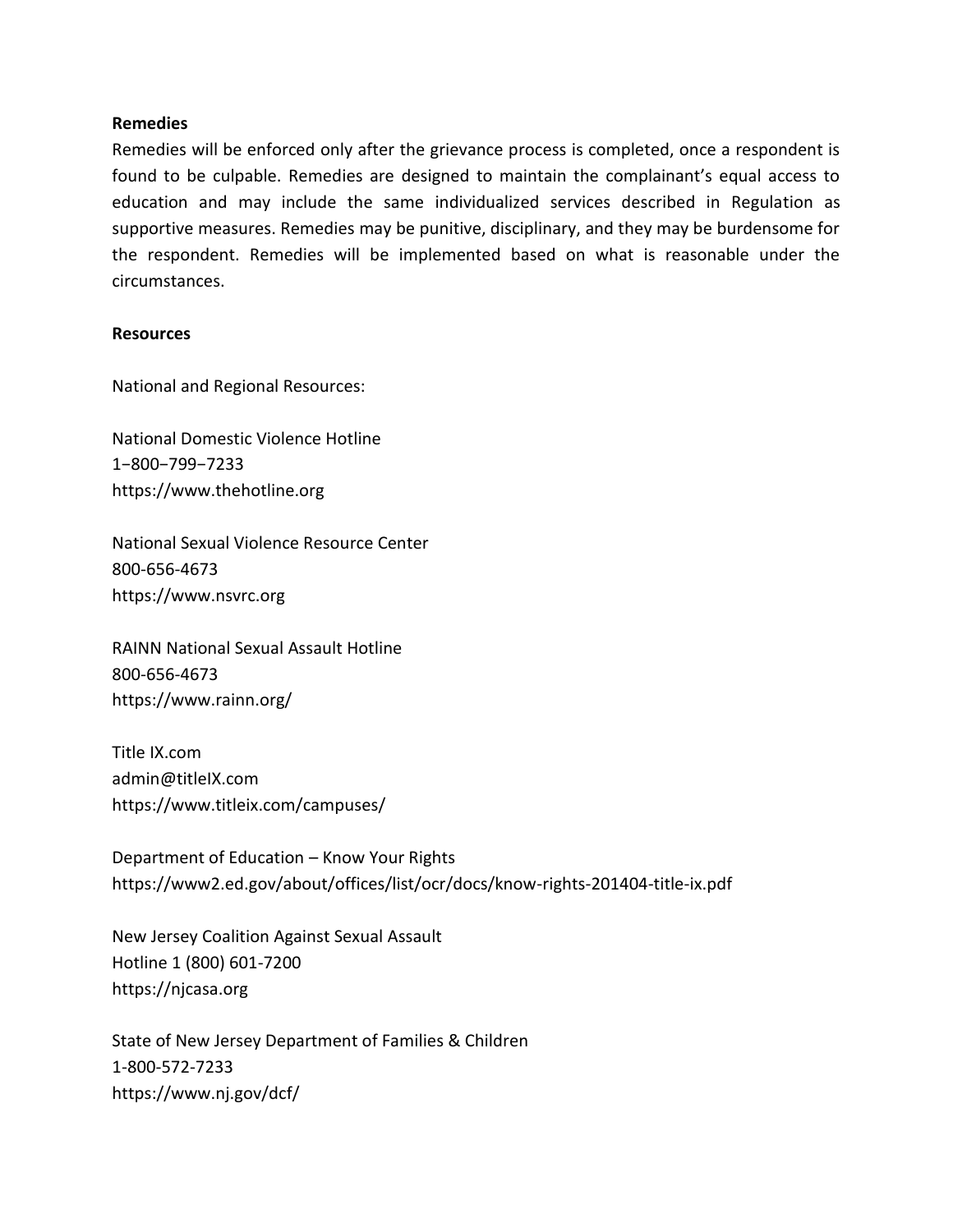#### **Remedies**

Remedies will be enforced only after the grievance process is completed, once a respondent is found to be culpable. Remedies are designed to maintain the complainant's equal access to education and may include the same individualized services described in Regulation as supportive measures. Remedies may be punitive, disciplinary, and they may be burdensome for the respondent. Remedies will be implemented based on what is reasonable under the circumstances.

#### **Resources**

National and Regional Resources:

National Domestic Violence Hotline 1−800−799−7233 https://www.thehotline.org

National Sexual Violence Resource Center 800-656-4673 https://www.nsvrc.org

RAINN National Sexual Assault Hotline 800-656-4673 https://www.rainn.org/

Title IX.com admin@titleIX.com https://www.titleix.com/campuses/

Department of Education – Know Your Rights <https://www2.ed.gov/about/offices/list/ocr/docs/know-rights-201404-title-ix.pdf>

New Jersey Coalition Against Sexual Assault Hotline 1 (800) 601-7200 [https://njcasa.org](https://njcasa.org/)

State of New Jersey Department of Families & Children 1-800-572-7233 <https://www.nj.gov/dcf/>